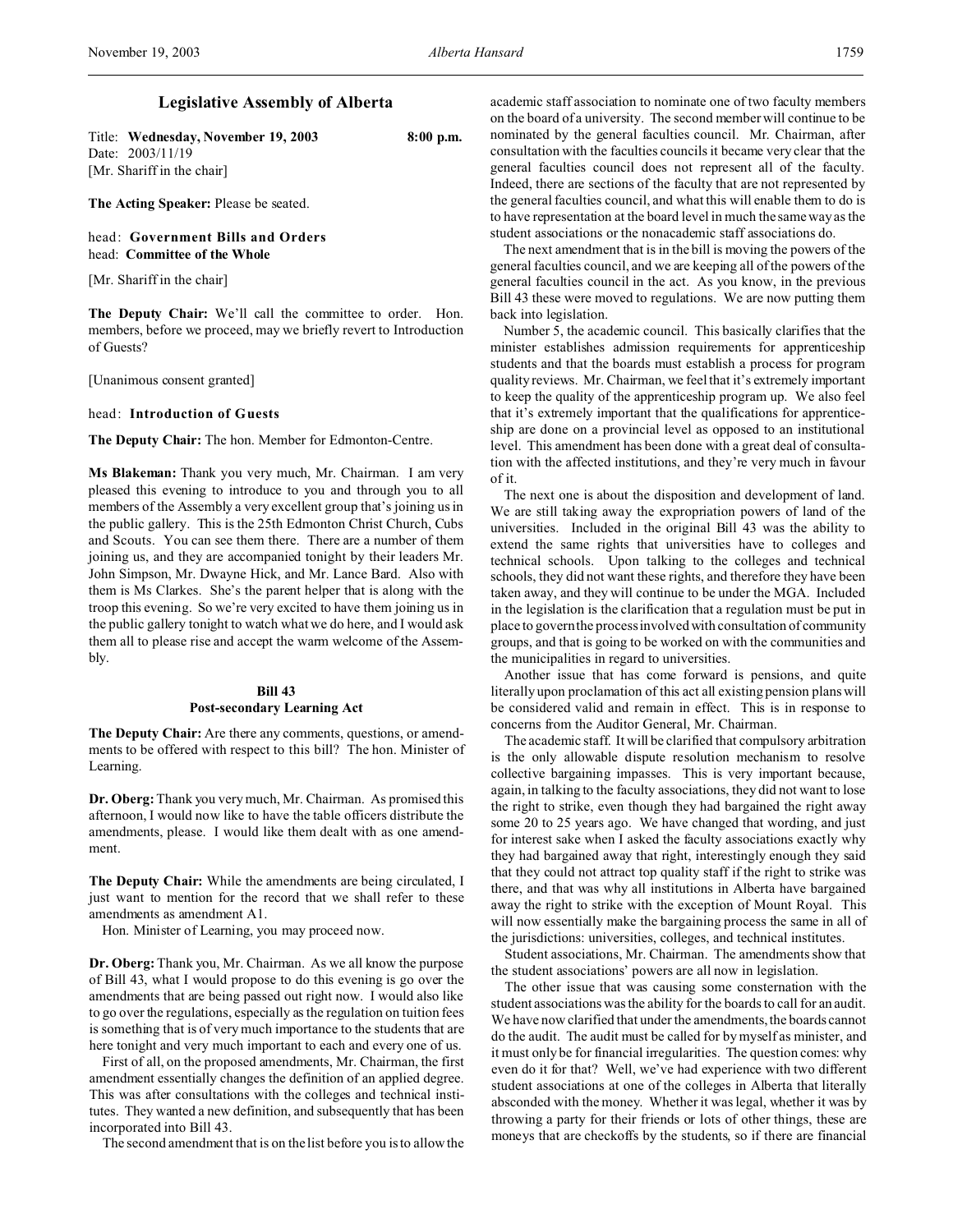# **Legislative Assembly of Alberta**

Title: **Wednesday, November 19, 2003 8:00 p.m.** Date: 2003/11/19 [Mr. Shariff in the chair]

**The Acting Speaker:** Please be seated.

head: **Government Bills and Orders** head: **Committee of the Whole**

[Mr. Shariff in the chair]

**The Deputy Chair:** We'll call the committee to order. Hon. members, before we proceed, may we briefly revert to Introduction of Guests?

[Unanimous consent granted]

## head: **Introduction of Guests**

**The Deputy Chair:** The hon. Member for Edmonton-Centre.

**Ms Blakeman:** Thank you very much, Mr. Chairman. I am very pleased this evening to introduce to you and through you to all members of the Assembly a very excellent group that's joining us in the public gallery. This is the 25th Edmonton Christ Church, Cubs and Scouts. You can see them there. There are a number of them joining us, and they are accompanied tonight by their leaders Mr. John Simpson, Mr. Dwayne Hick, and Mr. Lance Bard. Also with them is Ms Clarkes. She's the parent helper that is along with the troop this evening. So we're very excited to have them joining us in the public gallery tonight to watch what we do here, and I would ask them all to please rise and accept the warm welcome of the Assembly.

# **Bill 43 Post-secondary Learning Act**

**The Deputy Chair:** Are there any comments, questions, or amendments to be offered with respect to this bill? The hon. Minister of Learning.

**Dr. Oberg:**Thank you very much, Mr. Chairman. As promised this afternoon, I would now like to have the table officers distribute the amendments, please. I would like them dealt with as one amendment.

**The Deputy Chair:** While the amendments are being circulated, I just want to mention for the record that we shall refer to these amendments as amendment A1.

Hon. Minister of Learning, you may proceed now.

**Dr. Oberg:**Thank you, Mr. Chairman. As we all know the purpose of Bill 43, what I would propose to do this evening is go over the amendments that are being passed out right now. I would also like to go over the regulations, especially as the regulation on tuition fees is something that is of very much importance to the students that are here tonight and very much important to each and every one of us.

First of all, on the proposed amendments, Mr. Chairman, the first amendment essentially changes the definition of an applied degree. This was after consultations with the colleges and technical institutes. They wanted a new definition, and subsequently that has been incorporated into Bill 43.

The second amendment that is on the list before you is to allow the

academic staff association to nominate one of two faculty members on the board of a university. The second member will continue to be nominated by the general faculties council. Mr. Chairman, after consultation with the faculties councils it became very clear that the general faculties council does not represent all of the faculty. Indeed, there are sections of the faculty that are not represented by the general faculties council, and what this will enable them to do is to have representation at the board level in much the same way as the student associations or the nonacademic staff associations do.

The next amendment that is in the bill is moving the powers of the general faculties council, and we are keeping all of the powers of the general faculties council in the act. As you know, in the previous Bill 43 these were moved to regulations. We are now putting them back into legislation.

Number 5, the academic council. This basically clarifies that the minister establishes admission requirements for apprenticeship students and that the boards must establish a process for program quality reviews. Mr. Chairman, we feel that it's extremely important to keep the quality of the apprenticeship program up. We also feel that it's extremely important that the qualifications for apprenticeship are done on a provincial level as opposed to an institutional level. This amendment has been done with a great deal of consultation with the affected institutions, and they're very much in favour of it.

The next one is about the disposition and development of land. We are still taking away the expropriation powers of land of the universities. Included in the original Bill 43 was the ability to extend the same rights that universities have to colleges and technical schools. Upon talking to the colleges and technical schools, they did not want these rights, and therefore they have been taken away, and they will continue to be under the MGA. Included in the legislation is the clarification that a regulation must be put in place to govern the process involved with consultation of community groups, and that is going to be worked on with the communities and the municipalities in regard to universities.

Another issue that has come forward is pensions, and quite literally upon proclamation of this act all existing pension plans will be considered valid and remain in effect. This is in response to concerns from the Auditor General, Mr. Chairman.

The academic staff. It will be clarified that compulsory arbitration is the only allowable dispute resolution mechanism to resolve collective bargaining impasses. This is very important because, again, in talking to the faculty associations, they did not want to lose the right to strike, even though they had bargained the right away some 20 to 25 years ago. We have changed that wording, and just for interest sake when I asked the faculty associations exactly why they had bargained away that right, interestingly enough they said that they could not attract top quality staff if the right to strike was there, and that was why all institutions in Alberta have bargained away the right to strike with the exception of Mount Royal. This will now essentially make the bargaining process the same in all of the jurisdictions: universities, colleges, and technical institutes.

Student associations, Mr. Chairman. The amendments show that the student associations' powers are all now in legislation.

The other issue that was causing some consternation with the student associations was the ability for the boards to call for an audit. We have now clarified that under the amendments, the boards cannot do the audit. The audit must be called for by myself as minister, and it must only be for financial irregularities. The question comes: why even do it for that? Well, we've had experience with two different student associations at one of the colleges in Alberta that literally absconded with the money. Whether it was legal, whether it was by throwing a party for their friends or lots of other things, these are moneys that are checkoffs by the students, so if there are financial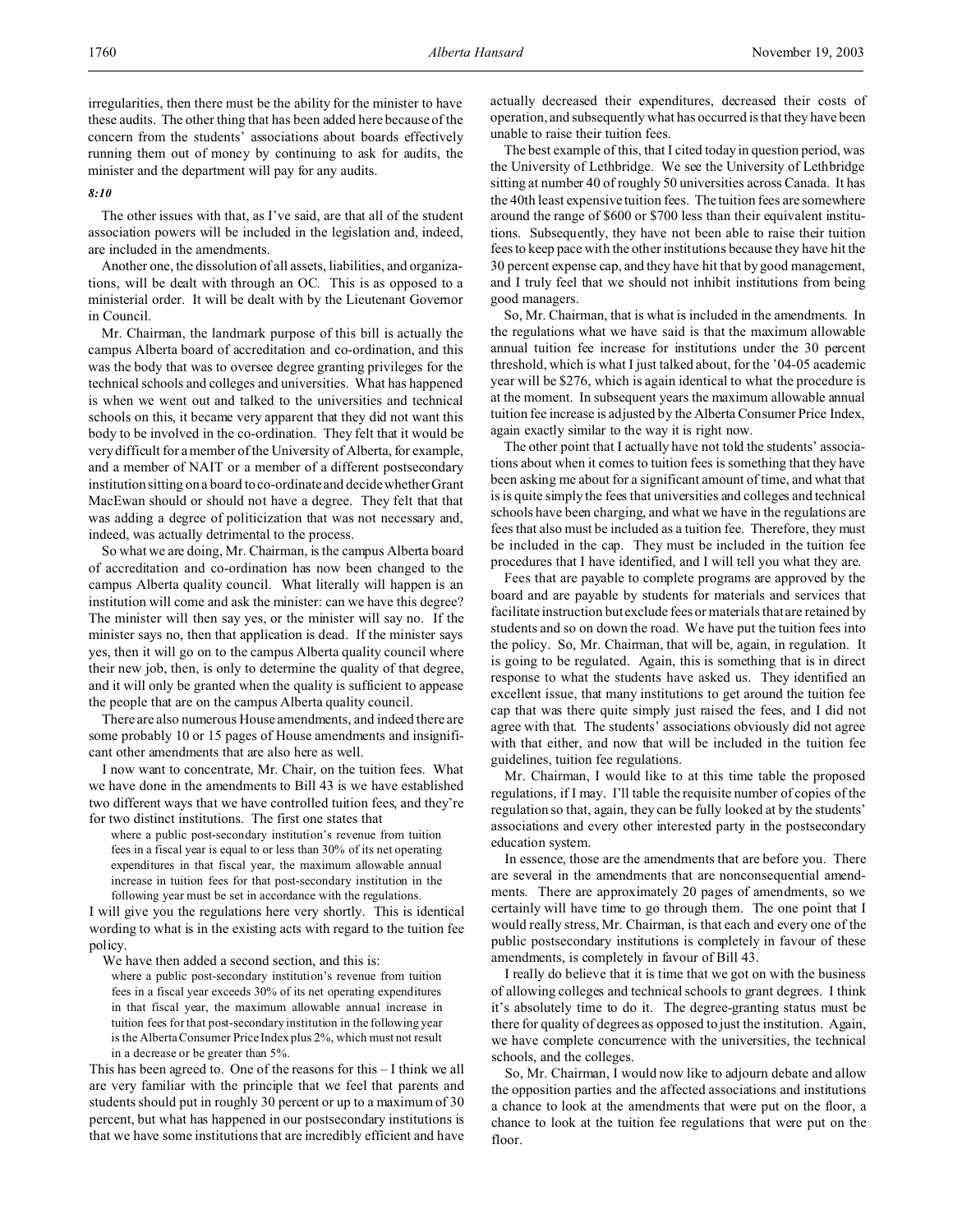irregularities, then there must be the ability for the minister to have these audits. The other thing that has been added here because of the concern from the students' associations about boards effectively running them out of money by continuing to ask for audits, the minister and the department will pay for any audits.

#### *8:10*

The other issues with that, as I've said, are that all of the student association powers will be included in the legislation and, indeed, are included in the amendments.

Another one, the dissolution of all assets, liabilities, and organizations, will be dealt with through an OC. This is as opposed to a ministerial order. It will be dealt with by the Lieutenant Governor in Council.

Mr. Chairman, the landmark purpose of this bill is actually the campus Alberta board of accreditation and co-ordination, and this was the body that was to oversee degree granting privileges for the technical schools and colleges and universities. What has happened is when we went out and talked to the universities and technical schools on this, it became very apparent that they did not want this body to be involved in the co-ordination. They felt that it would be very difficult for a member of the University of Alberta, for example, and a member of NAIT or a member of a different postsecondary institution sitting on a board to co-ordinate and decide whether Grant MacEwan should or should not have a degree. They felt that that was adding a degree of politicization that was not necessary and, indeed, was actually detrimental to the process.

So what we are doing, Mr. Chairman, is the campus Alberta board of accreditation and co-ordination has now been changed to the campus Alberta quality council. What literally will happen is an institution will come and ask the minister: can we have this degree? The minister will then say yes, or the minister will say no. If the minister says no, then that application is dead. If the minister says yes, then it will go on to the campus Alberta quality council where their new job, then, is only to determine the quality of that degree, and it will only be granted when the quality is sufficient to appease the people that are on the campus Alberta quality council.

There are also numerous House amendments, and indeed there are some probably 10 or 15 pages of House amendments and insignificant other amendments that are also here as well.

I now want to concentrate, Mr. Chair, on the tuition fees. What we have done in the amendments to Bill 43 is we have established two different ways that we have controlled tuition fees, and they're for two distinct institutions. The first one states that

where a public post-secondary institution's revenue from tuition fees in a fiscal year is equal to or less than 30% of its net operating expenditures in that fiscal year, the maximum allowable annual increase in tuition fees for that post-secondary institution in the following year must be set in accordance with the regulations.

I will give you the regulations here very shortly. This is identical wording to what is in the existing acts with regard to the tuition fee policy.

We have then added a second section, and this is:

where a public post-secondary institution's revenue from tuition fees in a fiscal year exceeds 30% of its net operating expenditures in that fiscal year, the maximum allowable annual increase in tuition fees for that post-secondary institution in the following year is the Alberta Consumer Price Index plus 2%, which must not result in a decrease or be greater than 5%.

This has been agreed to. One of the reasons for this – I think we all are very familiar with the principle that we feel that parents and students should put in roughly 30 percent or up to a maximum of 30 percent, but what has happened in our postsecondary institutions is that we have some institutions that are incredibly efficient and have actually decreased their expenditures, decreased their costs of operation, and subsequently what has occurred is that they have been unable to raise their tuition fees.

The best example of this, that I cited today in question period, was the University of Lethbridge. We see the University of Lethbridge sitting at number 40 of roughly 50 universities across Canada. It has the 40th least expensive tuition fees. The tuition fees are somewhere around the range of \$600 or \$700 less than their equivalent institutions. Subsequently, they have not been able to raise their tuition fees to keep pace with the other institutions because they have hit the 30 percent expense cap, and they have hit that by good management, and I truly feel that we should not inhibit institutions from being good managers.

So, Mr. Chairman, that is what is included in the amendments. In the regulations what we have said is that the maximum allowable annual tuition fee increase for institutions under the 30 percent threshold, which is what I just talked about, for the '04-05 academic year will be \$276, which is again identical to what the procedure is at the moment. In subsequent years the maximum allowable annual tuition fee increase is adjusted by the Alberta Consumer Price Index, again exactly similar to the way it is right now.

The other point that I actually have not told the students' associations about when it comes to tuition fees is something that they have been asking me about for a significant amount of time, and what that is is quite simply the fees that universities and colleges and technical schools have been charging, and what we have in the regulations are fees that also must be included as a tuition fee. Therefore, they must be included in the cap. They must be included in the tuition fee procedures that I have identified, and I will tell you what they are.

Fees that are payable to complete programs are approved by the board and are payable by students for materials and services that facilitate instruction but exclude fees or materials that are retained by students and so on down the road. We have put the tuition fees into the policy. So, Mr. Chairman, that will be, again, in regulation. It is going to be regulated. Again, this is something that is in direct response to what the students have asked us. They identified an excellent issue, that many institutions to get around the tuition fee cap that was there quite simply just raised the fees, and I did not agree with that. The students' associations obviously did not agree with that either, and now that will be included in the tuition fee guidelines, tuition fee regulations.

Mr. Chairman, I would like to at this time table the proposed regulations, if I may. I'll table the requisite number of copies of the regulation so that, again, they can be fully looked at by the students' associations and every other interested party in the postsecondary education system.

In essence, those are the amendments that are before you. There are several in the amendments that are nonconsequential amendments. There are approximately 20 pages of amendments, so we certainly will have time to go through them. The one point that I would really stress, Mr. Chairman, is that each and every one of the public postsecondary institutions is completely in favour of these amendments, is completely in favour of Bill 43.

I really do believe that it is time that we got on with the business of allowing colleges and technical schools to grant degrees. I think it's absolutely time to do it. The degree-granting status must be there for quality of degrees as opposed to just the institution. Again, we have complete concurrence with the universities, the technical schools, and the colleges.

So, Mr. Chairman, I would now like to adjourn debate and allow the opposition parties and the affected associations and institutions a chance to look at the amendments that were put on the floor, a chance to look at the tuition fee regulations that were put on the floor.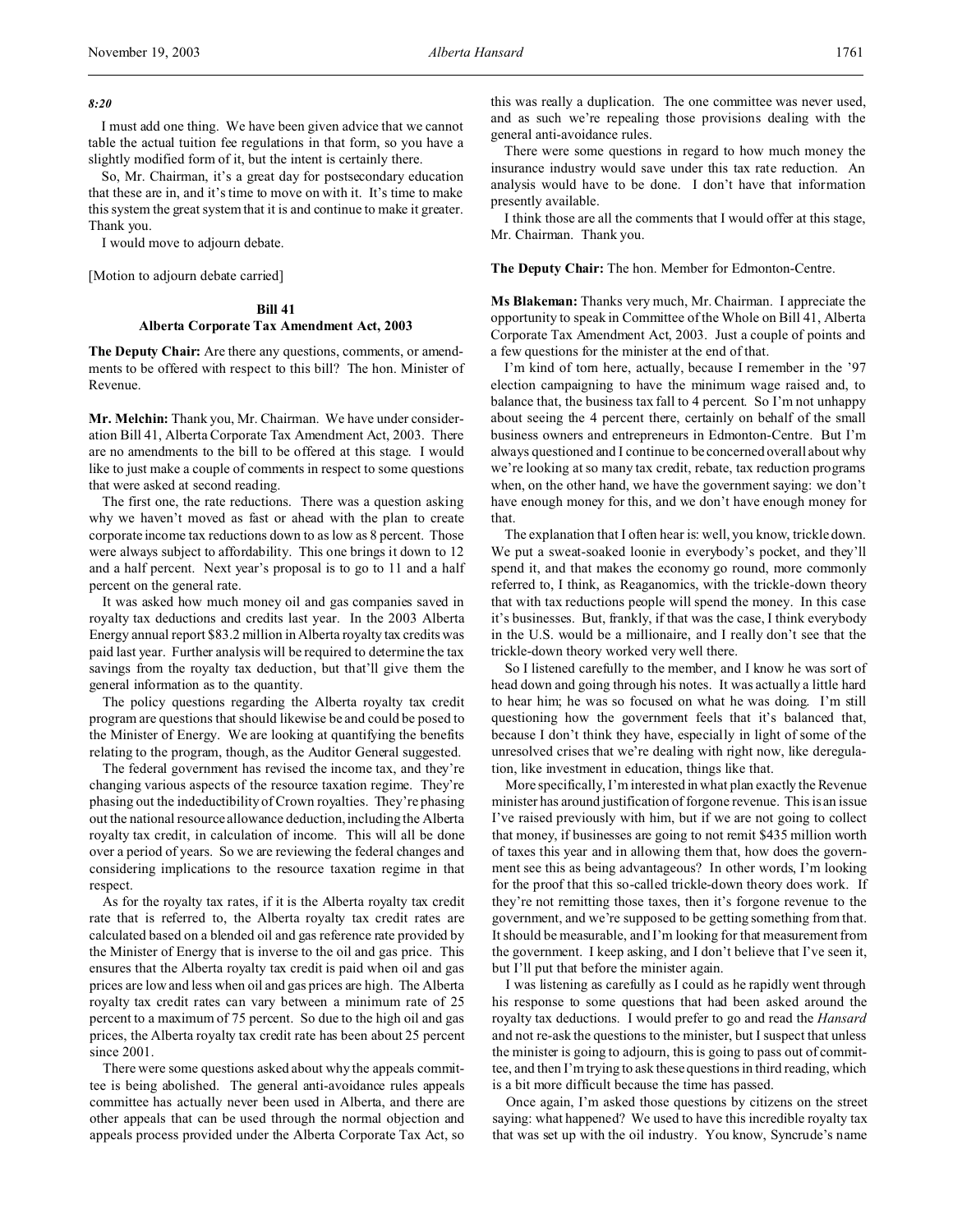## *8:20*

I must add one thing. We have been given advice that we cannot table the actual tuition fee regulations in that form, so you have a slightly modified form of it, but the intent is certainly there.

So, Mr. Chairman, it's a great day for postsecondary education that these are in, and it's time to move on with it. It's time to make this system the great system that it is and continue to make it greater. Thank you.

I would move to adjourn debate.

[Motion to adjourn debate carried]

# **Bill 41**

## **Alberta Corporate Tax Amendment Act, 2003**

**The Deputy Chair:** Are there any questions, comments, or amendments to be offered with respect to this bill? The hon. Minister of Revenue.

**Mr. Melchin:** Thank you, Mr. Chairman. We have under consideration Bill 41, Alberta Corporate Tax Amendment Act, 2003. There are no amendments to the bill to be offered at this stage. I would like to just make a couple of comments in respect to some questions that were asked at second reading.

The first one, the rate reductions. There was a question asking why we haven't moved as fast or ahead with the plan to create corporate income tax reductions down to as low as 8 percent. Those were always subject to affordability. This one brings it down to 12 and a half percent. Next year's proposal is to go to 11 and a half percent on the general rate.

It was asked how much money oil and gas companies saved in royalty tax deductions and credits last year. In the 2003 Alberta Energy annual report \$83.2 million in Alberta royalty tax credits was paid last year. Further analysis will be required to determine the tax savings from the royalty tax deduction, but that'll give them the general information as to the quantity.

The policy questions regarding the Alberta royalty tax credit program are questions that should likewise be and could be posed to the Minister of Energy. We are looking at quantifying the benefits relating to the program, though, as the Auditor General suggested.

The federal government has revised the income tax, and they're changing various aspects of the resource taxation regime. They're phasing out the indeductibility of Crown royalties. They're phasing out the national resource allowance deduction, including the Alberta royalty tax credit, in calculation of income. This will all be done over a period of years. So we are reviewing the federal changes and considering implications to the resource taxation regime in that respect.

As for the royalty tax rates, if it is the Alberta royalty tax credit rate that is referred to, the Alberta royalty tax credit rates are calculated based on a blended oil and gas reference rate provided by the Minister of Energy that is inverse to the oil and gas price. This ensures that the Alberta royalty tax credit is paid when oil and gas prices are low and less when oil and gas prices are high. The Alberta royalty tax credit rates can vary between a minimum rate of 25 percent to a maximum of 75 percent. So due to the high oil and gas prices, the Alberta royalty tax credit rate has been about 25 percent since 2001.

There were some questions asked about why the appeals committee is being abolished. The general anti-avoidance rules appeals committee has actually never been used in Alberta, and there are other appeals that can be used through the normal objection and appeals process provided under the Alberta Corporate Tax Act, so

this was really a duplication. The one committee was never used, and as such we're repealing those provisions dealing with the general anti-avoidance rules.

There were some questions in regard to how much money the insurance industry would save under this tax rate reduction. An analysis would have to be done. I don't have that information presently available.

I think those are all the comments that I would offer at this stage, Mr. Chairman. Thank you.

**The Deputy Chair:** The hon. Member for Edmonton-Centre.

**Ms Blakeman:** Thanks very much, Mr. Chairman. I appreciate the opportunity to speak in Committee of the Whole on Bill 41, Alberta Corporate Tax Amendment Act, 2003. Just a couple of points and a few questions for the minister at the end of that.

I'm kind of torn here, actually, because I remember in the '97 election campaigning to have the minimum wage raised and, to balance that, the business tax fall to 4 percent. So I'm not unhappy about seeing the 4 percent there, certainly on behalf of the small business owners and entrepreneurs in Edmonton-Centre. But I'm always questioned and I continue to be concerned overall about why we're looking at so many tax credit, rebate, tax reduction programs when, on the other hand, we have the government saying: we don't have enough money for this, and we don't have enough money for that.

The explanation that I often hear is: well, you know, trickle down. We put a sweat-soaked loonie in everybody's pocket, and they'll spend it, and that makes the economy go round, more commonly referred to, I think, as Reaganomics, with the trickle-down theory that with tax reductions people will spend the money. In this case it's businesses. But, frankly, if that was the case, I think everybody in the U.S. would be a millionaire, and I really don't see that the trickle-down theory worked very well there.

So I listened carefully to the member, and I know he was sort of head down and going through his notes. It was actually a little hard to hear him; he was so focused on what he was doing. I'm still questioning how the government feels that it's balanced that, because I don't think they have, especially in light of some of the unresolved crises that we're dealing with right now, like deregulation, like investment in education, things like that.

More specifically, I'm interested in what plan exactly the Revenue minister has around justification of forgone revenue. This is an issue I've raised previously with him, but if we are not going to collect that money, if businesses are going to not remit \$435 million worth of taxes this year and in allowing them that, how does the government see this as being advantageous? In other words, I'm looking for the proof that this so-called trickle-down theory does work. If they're not remitting those taxes, then it's forgone revenue to the government, and we're supposed to be getting something from that. It should be measurable, and I'm looking for that measurement from the government. I keep asking, and I don't believe that I've seen it, but I'll put that before the minister again.

I was listening as carefully as I could as he rapidly went through his response to some questions that had been asked around the royalty tax deductions. I would prefer to go and read the *Hansard* and not re-ask the questions to the minister, but I suspect that unless the minister is going to adjourn, this is going to pass out of committee, and then I'm trying to ask these questions in third reading, which is a bit more difficult because the time has passed.

Once again, I'm asked those questions by citizens on the street saying: what happened? We used to have this incredible royalty tax that was set up with the oil industry. You know, Syncrude's name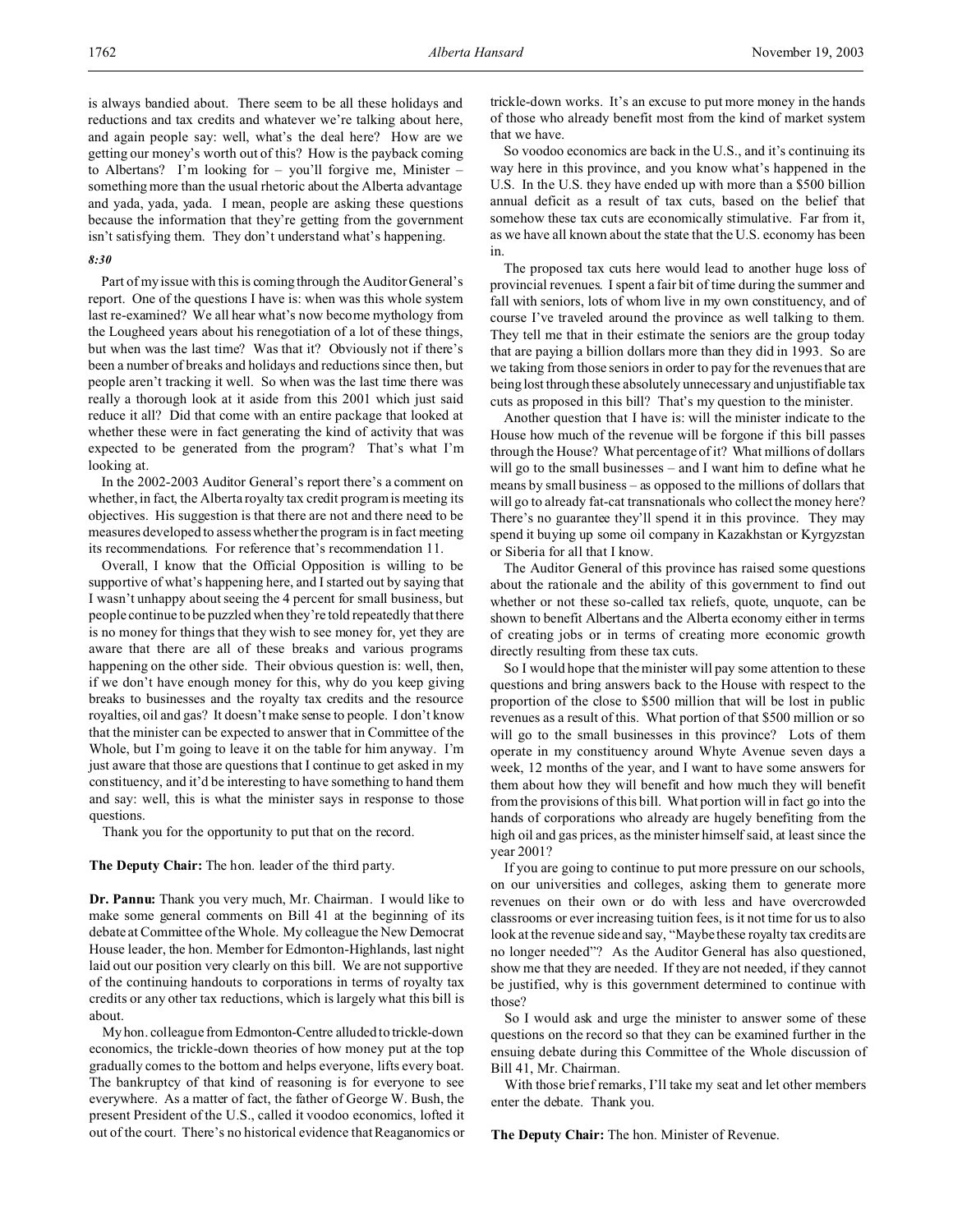is always bandied about. There seem to be all these holidays and reductions and tax credits and whatever we're talking about here, and again people say: well, what's the deal here? How are we getting our money's worth out of this? How is the payback coming to Albertans? I'm looking for – you'll forgive me, Minister – something more than the usual rhetoric about the Alberta advantage and yada, yada, yada. I mean, people are asking these questions because the information that they're getting from the government isn't satisfying them. They don't understand what's happening.

## *8:30*

Part of my issue with this is coming through the Auditor General's report. One of the questions I have is: when was this whole system last re-examined? We all hear what's now become mythology from the Lougheed years about his renegotiation of a lot of these things, but when was the last time? Was that it? Obviously not if there's been a number of breaks and holidays and reductions since then, but people aren't tracking it well. So when was the last time there was really a thorough look at it aside from this 2001 which just said reduce it all? Did that come with an entire package that looked at whether these were in fact generating the kind of activity that was expected to be generated from the program? That's what I'm looking at.

In the 2002-2003 Auditor General's report there's a comment on whether, in fact, the Alberta royalty tax credit program is meeting its objectives. His suggestion is that there are not and there need to be measures developed to assess whether the program is in fact meeting its recommendations. For reference that's recommendation 11.

Overall, I know that the Official Opposition is willing to be supportive of what's happening here, and I started out by saying that I wasn't unhappy about seeing the 4 percent for small business, but people continue to be puzzled when they're told repeatedly that there is no money for things that they wish to see money for, yet they are aware that there are all of these breaks and various programs happening on the other side. Their obvious question is: well, then, if we don't have enough money for this, why do you keep giving breaks to businesses and the royalty tax credits and the resource royalties, oil and gas? It doesn't make sense to people. I don't know that the minister can be expected to answer that in Committee of the Whole, but I'm going to leave it on the table for him anyway. I'm just aware that those are questions that I continue to get asked in my constituency, and it'd be interesting to have something to hand them and say: well, this is what the minister says in response to those questions.

Thank you for the opportunity to put that on the record.

**The Deputy Chair:** The hon. leader of the third party.

**Dr. Pannu:** Thank you very much, Mr. Chairman. I would like to make some general comments on Bill 41 at the beginning of its debate at Committee of the Whole. My colleague the New Democrat House leader, the hon. Member for Edmonton-Highlands, last night laid out our position very clearly on this bill. We are not supportive of the continuing handouts to corporations in terms of royalty tax credits or any other tax reductions, which is largely what this bill is about.

My hon. colleague from Edmonton-Centre alluded to trickle-down economics, the trickle-down theories of how money put at the top gradually comes to the bottom and helps everyone, lifts every boat. The bankruptcy of that kind of reasoning is for everyone to see everywhere. As a matter of fact, the father of George W. Bush, the present President of the U.S., called it voodoo economics, lofted it out of the court. There's no historical evidence that Reaganomics or trickle-down works. It's an excuse to put more money in the hands of those who already benefit most from the kind of market system that we have.

So voodoo economics are back in the U.S., and it's continuing its way here in this province, and you know what's happened in the U.S. In the U.S. they have ended up with more than a \$500 billion annual deficit as a result of tax cuts, based on the belief that somehow these tax cuts are economically stimulative. Far from it, as we have all known about the state that the U.S. economy has been in.

The proposed tax cuts here would lead to another huge loss of provincial revenues. I spent a fair bit of time during the summer and fall with seniors, lots of whom live in my own constituency, and of course I've traveled around the province as well talking to them. They tell me that in their estimate the seniors are the group today that are paying a billion dollars more than they did in 1993. So are we taking from those seniors in order to pay for the revenues that are being lost through these absolutely unnecessary and unjustifiable tax cuts as proposed in this bill? That's my question to the minister.

Another question that I have is: will the minister indicate to the House how much of the revenue will be forgone if this bill passes through the House? What percentage of it? What millions of dollars will go to the small businesses – and I want him to define what he means by small business – as opposed to the millions of dollars that will go to already fat-cat transnationals who collect the money here? There's no guarantee they'll spend it in this province. They may spend it buying up some oil company in Kazakhstan or Kyrgyzstan or Siberia for all that I know.

The Auditor General of this province has raised some questions about the rationale and the ability of this government to find out whether or not these so-called tax reliefs, quote, unquote, can be shown to benefit Albertans and the Alberta economy either in terms of creating jobs or in terms of creating more economic growth directly resulting from these tax cuts.

So I would hope that the minister will pay some attention to these questions and bring answers back to the House with respect to the proportion of the close to \$500 million that will be lost in public revenues as a result of this. What portion of that \$500 million or so will go to the small businesses in this province? Lots of them operate in my constituency around Whyte Avenue seven days a week, 12 months of the year, and I want to have some answers for them about how they will benefit and how much they will benefit from the provisions of this bill. What portion will in fact go into the hands of corporations who already are hugely benefiting from the high oil and gas prices, as the minister himself said, at least since the year 2001?

If you are going to continue to put more pressure on our schools, on our universities and colleges, asking them to generate more revenues on their own or do with less and have overcrowded classrooms or ever increasing tuition fees, is it not time for us to also look at the revenue side and say, "Maybe these royalty tax credits are no longer needed"? As the Auditor General has also questioned, show me that they are needed. If they are not needed, if they cannot be justified, why is this government determined to continue with those?

So I would ask and urge the minister to answer some of these questions on the record so that they can be examined further in the ensuing debate during this Committee of the Whole discussion of Bill 41, Mr. Chairman.

With those brief remarks, I'll take my seat and let other members enter the debate. Thank you.

**The Deputy Chair:** The hon. Minister of Revenue.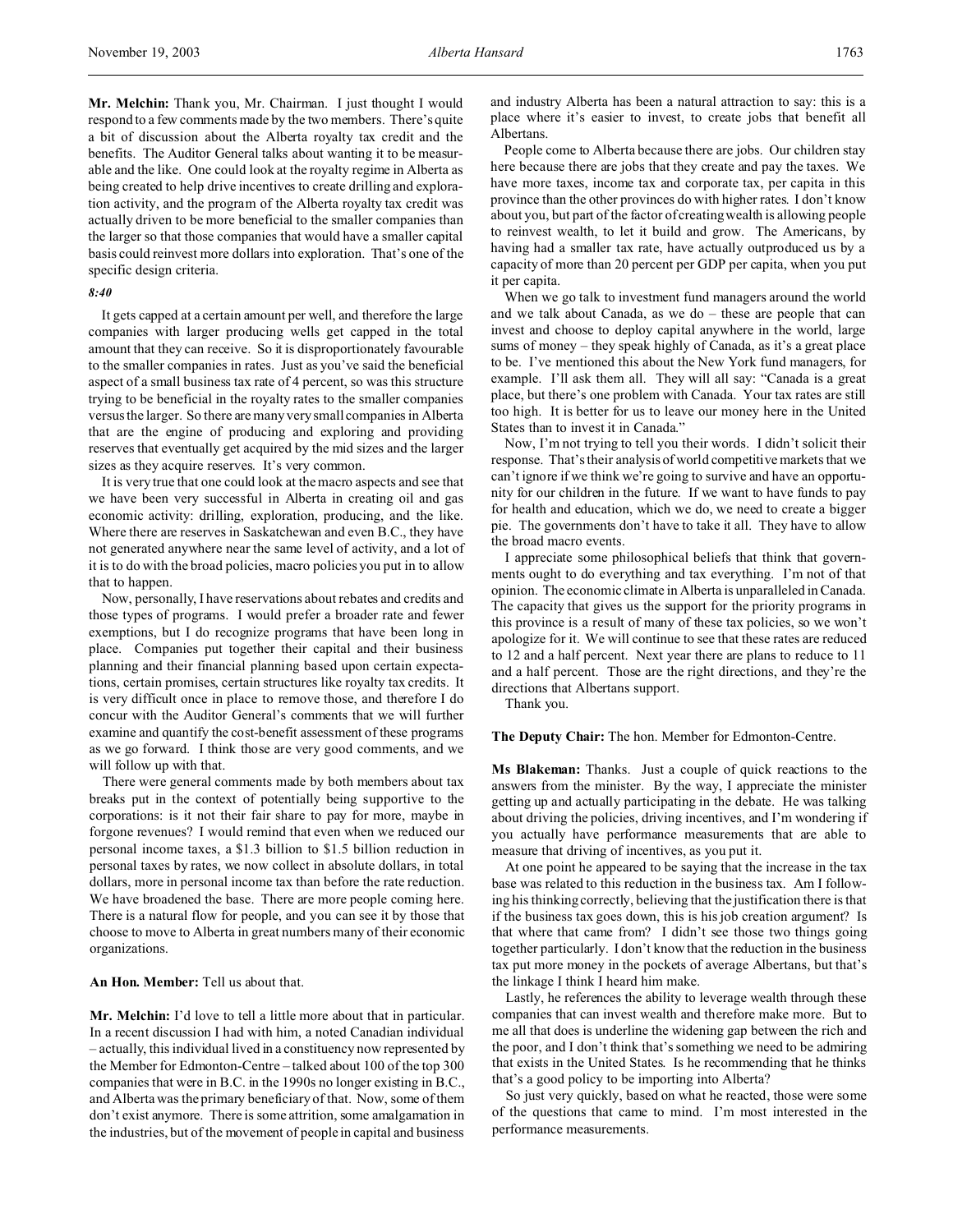**Mr. Melchin:** Thank you, Mr. Chairman. I just thought I would respond to a few comments made by the two members. There's quite a bit of discussion about the Alberta royalty tax credit and the benefits. The Auditor General talks about wanting it to be measurable and the like. One could look at the royalty regime in Alberta as being created to help drive incentives to create drilling and exploration activity, and the program of the Alberta royalty tax credit was actually driven to be more beneficial to the smaller companies than the larger so that those companies that would have a smaller capital basis could reinvest more dollars into exploration. That's one of the specific design criteria.

#### *8:40*

It gets capped at a certain amount per well, and therefore the large companies with larger producing wells get capped in the total amount that they can receive. So it is disproportionately favourable to the smaller companies in rates. Just as you've said the beneficial aspect of a small business tax rate of 4 percent, so was this structure trying to be beneficial in the royalty rates to the smaller companies versus the larger. So there are many very small companies in Alberta that are the engine of producing and exploring and providing reserves that eventually get acquired by the mid sizes and the larger sizes as they acquire reserves. It's very common.

It is very true that one could look at the macro aspects and see that we have been very successful in Alberta in creating oil and gas economic activity: drilling, exploration, producing, and the like. Where there are reserves in Saskatchewan and even B.C., they have not generated anywhere near the same level of activity, and a lot of it is to do with the broad policies, macro policies you put in to allow that to happen.

Now, personally, I have reservations about rebates and credits and those types of programs. I would prefer a broader rate and fewer exemptions, but I do recognize programs that have been long in place. Companies put together their capital and their business planning and their financial planning based upon certain expectations, certain promises, certain structures like royalty tax credits. It is very difficult once in place to remove those, and therefore I do concur with the Auditor General's comments that we will further examine and quantify the cost-benefit assessment of these programs as we go forward. I think those are very good comments, and we will follow up with that.

There were general comments made by both members about tax breaks put in the context of potentially being supportive to the corporations: is it not their fair share to pay for more, maybe in forgone revenues? I would remind that even when we reduced our personal income taxes, a \$1.3 billion to \$1.5 billion reduction in personal taxes by rates, we now collect in absolute dollars, in total dollars, more in personal income tax than before the rate reduction. We have broadened the base. There are more people coming here. There is a natural flow for people, and you can see it by those that choose to move to Alberta in great numbers many of their economic organizations.

**An Hon. Member:** Tell us about that.

**Mr. Melchin:** I'd love to tell a little more about that in particular. In a recent discussion I had with him, a noted Canadian individual – actually, this individual lived in a constituency now represented by the Member for Edmonton-Centre – talked about 100 of the top 300 companies that were in B.C. in the 1990s no longer existing in B.C., and Alberta was the primary beneficiary of that. Now, some of them don't exist anymore. There is some attrition, some amalgamation in the industries, but of the movement of people in capital and business

and industry Alberta has been a natural attraction to say: this is a place where it's easier to invest, to create jobs that benefit all Albertans.

People come to Alberta because there are jobs. Our children stay here because there are jobs that they create and pay the taxes. We have more taxes, income tax and corporate tax, per capita in this province than the other provinces do with higher rates. I don't know about you, but part of the factor of creating wealth is allowing people to reinvest wealth, to let it build and grow. The Americans, by having had a smaller tax rate, have actually outproduced us by a capacity of more than 20 percent per GDP per capita, when you put it per capita.

When we go talk to investment fund managers around the world and we talk about Canada, as we do – these are people that can invest and choose to deploy capital anywhere in the world, large sums of money – they speak highly of Canada, as it's a great place to be. I've mentioned this about the New York fund managers, for example. I'll ask them all. They will all say: "Canada is a great place, but there's one problem with Canada. Your tax rates are still too high. It is better for us to leave our money here in the United States than to invest it in Canada."

Now, I'm not trying to tell you their words. I didn't solicit their response. That's their analysis of world competitive markets that we can't ignore if we think we're going to survive and have an opportunity for our children in the future. If we want to have funds to pay for health and education, which we do, we need to create a bigger pie. The governments don't have to take it all. They have to allow the broad macro events.

I appreciate some philosophical beliefs that think that governments ought to do everything and tax everything. I'm not of that opinion. The economic climate in Alberta is unparalleled in Canada. The capacity that gives us the support for the priority programs in this province is a result of many of these tax policies, so we won't apologize for it. We will continue to see that these rates are reduced to 12 and a half percent. Next year there are plans to reduce to 11 and a half percent. Those are the right directions, and they're the directions that Albertans support.

Thank you.

#### **The Deputy Chair:** The hon. Member for Edmonton-Centre.

**Ms Blakeman:** Thanks. Just a couple of quick reactions to the answers from the minister. By the way, I appreciate the minister getting up and actually participating in the debate. He was talking about driving the policies, driving incentives, and I'm wondering if you actually have performance measurements that are able to measure that driving of incentives, as you put it.

At one point he appeared to be saying that the increase in the tax base was related to this reduction in the business tax. Am I following his thinking correctly, believing that the justification there is that if the business tax goes down, this is his job creation argument? Is that where that came from? I didn't see those two things going together particularly. I don't know that the reduction in the business tax put more money in the pockets of average Albertans, but that's the linkage I think I heard him make.

Lastly, he references the ability to leverage wealth through these companies that can invest wealth and therefore make more. But to me all that does is underline the widening gap between the rich and the poor, and I don't think that's something we need to be admiring that exists in the United States. Is he recommending that he thinks that's a good policy to be importing into Alberta?

So just very quickly, based on what he reacted, those were some of the questions that came to mind. I'm most interested in the performance measurements.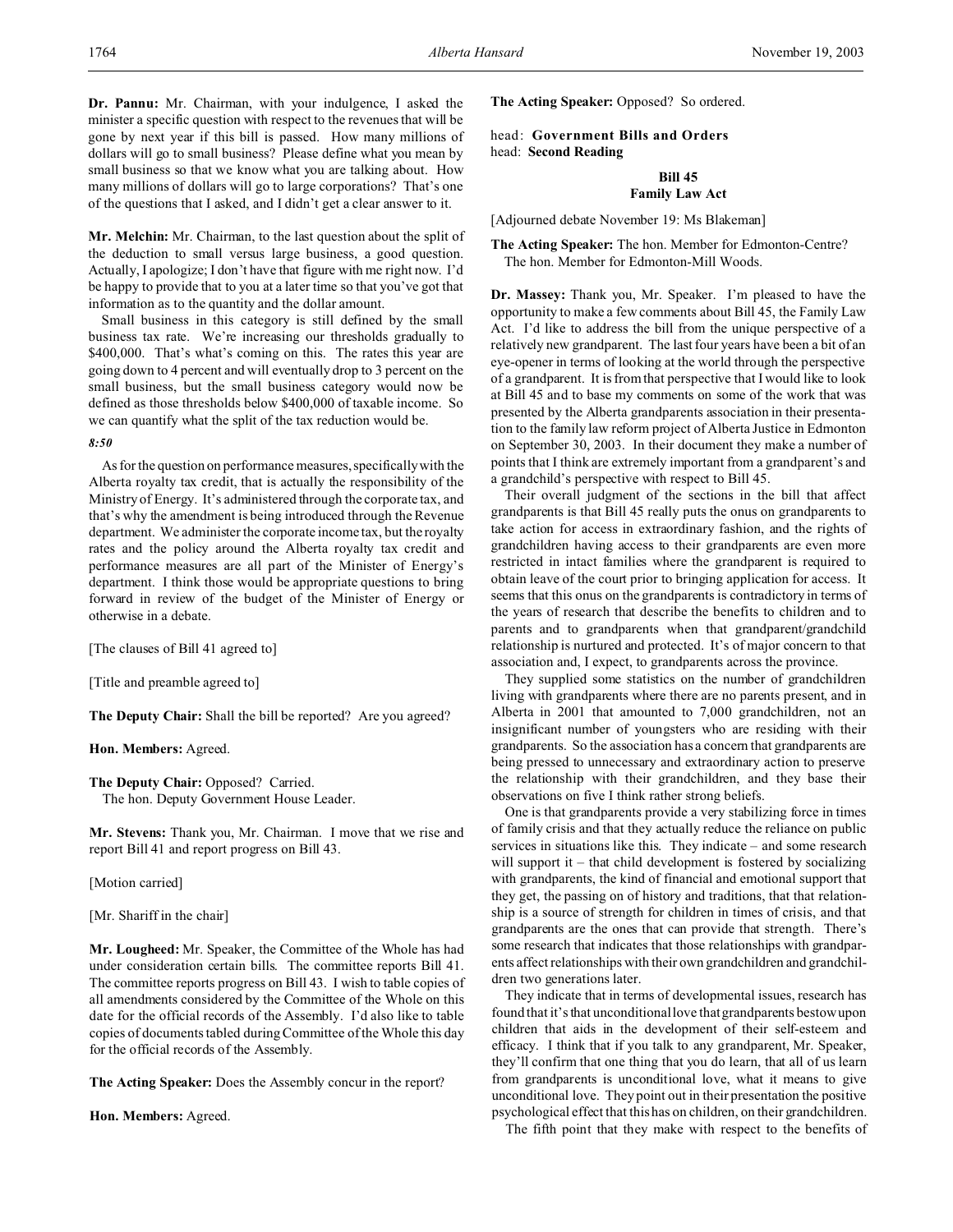**Dr. Pannu:** Mr. Chairman, with your indulgence, I asked the minister a specific question with respect to the revenues that will be gone by next year if this bill is passed. How many millions of dollars will go to small business? Please define what you mean by small business so that we know what you are talking about. How many millions of dollars will go to large corporations? That's one of the questions that I asked, and I didn't get a clear answer to it.

**Mr. Melchin:** Mr. Chairman, to the last question about the split of the deduction to small versus large business, a good question. Actually, I apologize; I don't have that figure with me right now. I'd be happy to provide that to you at a later time so that you've got that information as to the quantity and the dollar amount.

Small business in this category is still defined by the small business tax rate. We're increasing our thresholds gradually to \$400,000. That's what's coming on this. The rates this year are going down to 4 percent and will eventually drop to 3 percent on the small business, but the small business category would now be defined as those thresholds below \$400,000 of taxable income. So we can quantify what the split of the tax reduction would be.

#### *8:50*

As for the question on performance measures, specifically with the Alberta royalty tax credit, that is actually the responsibility of the Ministry of Energy. It's administered through the corporate tax, and that's why the amendment is being introduced through the Revenue department. We administer the corporate income tax, but the royalty rates and the policy around the Alberta royalty tax credit and performance measures are all part of the Minister of Energy's department. I think those would be appropriate questions to bring forward in review of the budget of the Minister of Energy or otherwise in a debate.

[The clauses of Bill 41 agreed to]

[Title and preamble agreed to]

**The Deputy Chair:** Shall the bill be reported? Are you agreed?

**Hon. Members:** Agreed.

**The Deputy Chair:** Opposed? Carried. The hon. Deputy Government House Leader.

**Mr. Stevens:** Thank you, Mr. Chairman. I move that we rise and report Bill 41 and report progress on Bill 43.

[Motion carried]

[Mr. Shariff in the chair]

**Mr. Lougheed:** Mr. Speaker, the Committee of the Whole has had under consideration certain bills. The committee reports Bill 41. The committee reports progress on Bill 43. I wish to table copies of all amendments considered by the Committee of the Whole on this date for the official records of the Assembly. I'd also like to table copies of documents tabled during Committee of the Whole this day for the official records of the Assembly.

**The Acting Speaker:** Does the Assembly concur in the report?

**Hon. Members:** Agreed.

**The Acting Speaker:** Opposed? So ordered.

head: **Government Bills and Orders** head: **Second Reading**

## **Bill 45 Family Law Act**

[Adjourned debate November 19: Ms Blakeman]

**The Acting Speaker:** The hon. Member for Edmonton-Centre? The hon. Member for Edmonton-Mill Woods.

**Dr. Massey:** Thank you, Mr. Speaker. I'm pleased to have the opportunity to make a few comments about Bill 45, the Family Law Act. I'd like to address the bill from the unique perspective of a relatively new grandparent. The last four years have been a bit of an eye-opener in terms of looking at the world through the perspective of a grandparent. It is from that perspective that I would like to look at Bill 45 and to base my comments on some of the work that was presented by the Alberta grandparents association in their presentation to the family law reform project of Alberta Justice in Edmonton on September 30, 2003. In their document they make a number of points that I think are extremely important from a grandparent's and a grandchild's perspective with respect to Bill 45.

Their overall judgment of the sections in the bill that affect grandparents is that Bill 45 really puts the onus on grandparents to take action for access in extraordinary fashion, and the rights of grandchildren having access to their grandparents are even more restricted in intact families where the grandparent is required to obtain leave of the court prior to bringing application for access. It seems that this onus on the grandparents is contradictory in terms of the years of research that describe the benefits to children and to parents and to grandparents when that grandparent/grandchild relationship is nurtured and protected. It's of major concern to that association and, I expect, to grandparents across the province.

They supplied some statistics on the number of grandchildren living with grandparents where there are no parents present, and in Alberta in 2001 that amounted to 7,000 grandchildren, not an insignificant number of youngsters who are residing with their grandparents. So the association has a concern that grandparents are being pressed to unnecessary and extraordinary action to preserve the relationship with their grandchildren, and they base their observations on five I think rather strong beliefs.

One is that grandparents provide a very stabilizing force in times of family crisis and that they actually reduce the reliance on public services in situations like this. They indicate – and some research will support it – that child development is fostered by socializing with grandparents, the kind of financial and emotional support that they get, the passing on of history and traditions, that that relationship is a source of strength for children in times of crisis, and that grandparents are the ones that can provide that strength. There's some research that indicates that those relationships with grandparents affect relationships with their own grandchildren and grandchildren two generations later.

They indicate that in terms of developmental issues, research has found that it's that unconditional love that grandparents bestow upon children that aids in the development of their self-esteem and efficacy. I think that if you talk to any grandparent, Mr. Speaker, they'll confirm that one thing that you do learn, that all of us learn from grandparents is unconditional love, what it means to give unconditional love. They point out in their presentation the positive psychological effect that this has on children, on their grandchildren.

The fifth point that they make with respect to the benefits of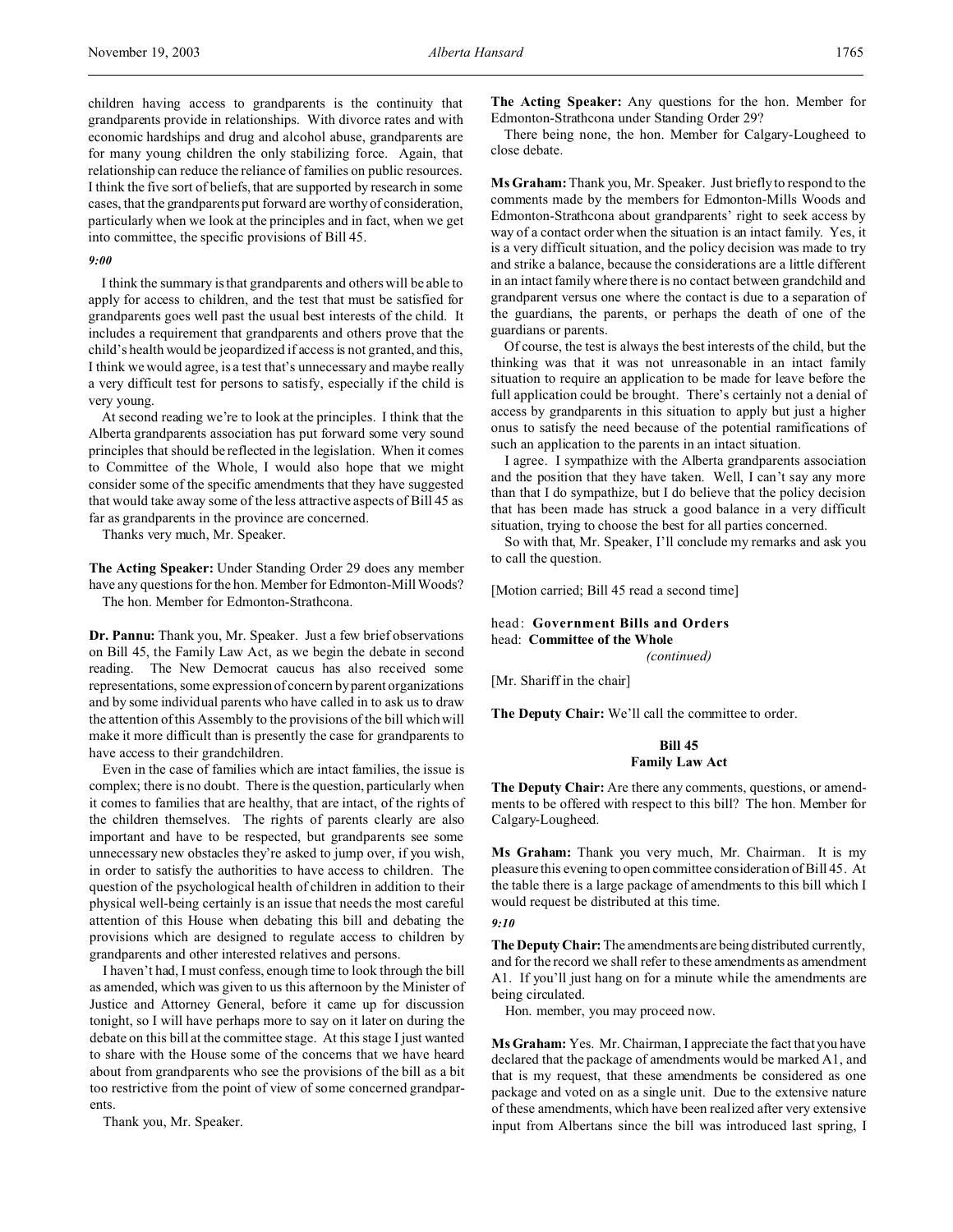#### *9:00*

I think the summary is that grandparents and others will be able to apply for access to children, and the test that must be satisfied for grandparents goes well past the usual best interests of the child. It includes a requirement that grandparents and others prove that the child's health would be jeopardized if access is not granted, and this, I think we would agree, is a test that's unnecessary and maybe really a very difficult test for persons to satisfy, especially if the child is very young.

At second reading we're to look at the principles. I think that the Alberta grandparents association has put forward some very sound principles that should be reflected in the legislation. When it comes to Committee of the Whole, I would also hope that we might consider some of the specific amendments that they have suggested that would take away some of the less attractive aspects of Bill 45 as far as grandparents in the province are concerned.

Thanks very much, Mr. Speaker.

**The Acting Speaker:** Under Standing Order 29 does any member have any questions for the hon. Member for Edmonton-Mill Woods? The hon. Member for Edmonton-Strathcona.

**Dr. Pannu:** Thank you, Mr. Speaker. Just a few brief observations on Bill 45, the Family Law Act, as we begin the debate in second reading. The New Democrat caucus has also received some representations, some expression of concern by parent organizations and by some individual parents who have called in to ask us to draw the attention of this Assembly to the provisions of the bill which will make it more difficult than is presently the case for grandparents to have access to their grandchildren.

Even in the case of families which are intact families, the issue is complex; there is no doubt. There is the question, particularly when it comes to families that are healthy, that are intact, of the rights of the children themselves. The rights of parents clearly are also important and have to be respected, but grandparents see some unnecessary new obstacles they're asked to jump over, if you wish, in order to satisfy the authorities to have access to children. The question of the psychological health of children in addition to their physical well-being certainly is an issue that needs the most careful attention of this House when debating this bill and debating the provisions which are designed to regulate access to children by grandparents and other interested relatives and persons.

I haven't had, I must confess, enough time to look through the bill as amended, which was given to us this afternoon by the Minister of Justice and Attorney General, before it came up for discussion tonight, so I will have perhaps more to say on it later on during the debate on this bill at the committee stage. At this stage I just wanted to share with the House some of the concerns that we have heard about from grandparents who see the provisions of the bill as a bit too restrictive from the point of view of some concerned grandparents.

Thank you, Mr. Speaker.

**The Acting Speaker:** Any questions for the hon. Member for Edmonton-Strathcona under Standing Order 29?

There being none, the hon. Member for Calgary-Lougheed to close debate.

**Ms Graham:** Thank you, Mr. Speaker. Just briefly to respond to the comments made by the members for Edmonton-Mills Woods and Edmonton-Strathcona about grandparents' right to seek access by way of a contact order when the situation is an intact family. Yes, it is a very difficult situation, and the policy decision was made to try and strike a balance, because the considerations are a little different in an intact family where there is no contact between grandchild and grandparent versus one where the contact is due to a separation of the guardians, the parents, or perhaps the death of one of the guardians or parents.

Of course, the test is always the best interests of the child, but the thinking was that it was not unreasonable in an intact family situation to require an application to be made for leave before the full application could be brought. There's certainly not a denial of access by grandparents in this situation to apply but just a higher onus to satisfy the need because of the potential ramifications of such an application to the parents in an intact situation.

I agree. I sympathize with the Alberta grandparents association and the position that they have taken. Well, I can't say any more than that I do sympathize, but I do believe that the policy decision that has been made has struck a good balance in a very difficult situation, trying to choose the best for all parties concerned.

So with that, Mr. Speaker, I'll conclude my remarks and ask you to call the question.

[Motion carried; Bill 45 read a second time]

head: **Government Bills and Orders** head: **Committee of the Whole**

*(continued)*

[Mr. Shariff in the chair]

**The Deputy Chair:** We'll call the committee to order.

# **Bill 45 Family Law Act**

**The Deputy Chair:** Are there any comments, questions, or amendments to be offered with respect to this bill? The hon. Member for Calgary-Lougheed.

**Ms Graham:** Thank you very much, Mr. Chairman. It is my pleasure this evening to open committee consideration of Bill 45. At the table there is a large package of amendments to this bill which I would request be distributed at this time.

## *9:10*

**The Deputy Chair:** The amendments are being distributed currently, and for the record we shall refer to these amendments as amendment A1. If you'll just hang on for a minute while the amendments are being circulated.

Hon. member, you may proceed now.

**Ms Graham:** Yes. Mr. Chairman, I appreciate the fact that you have declared that the package of amendments would be marked A1, and that is my request, that these amendments be considered as one package and voted on as a single unit. Due to the extensive nature of these amendments, which have been realized after very extensive input from Albertans since the bill was introduced last spring, I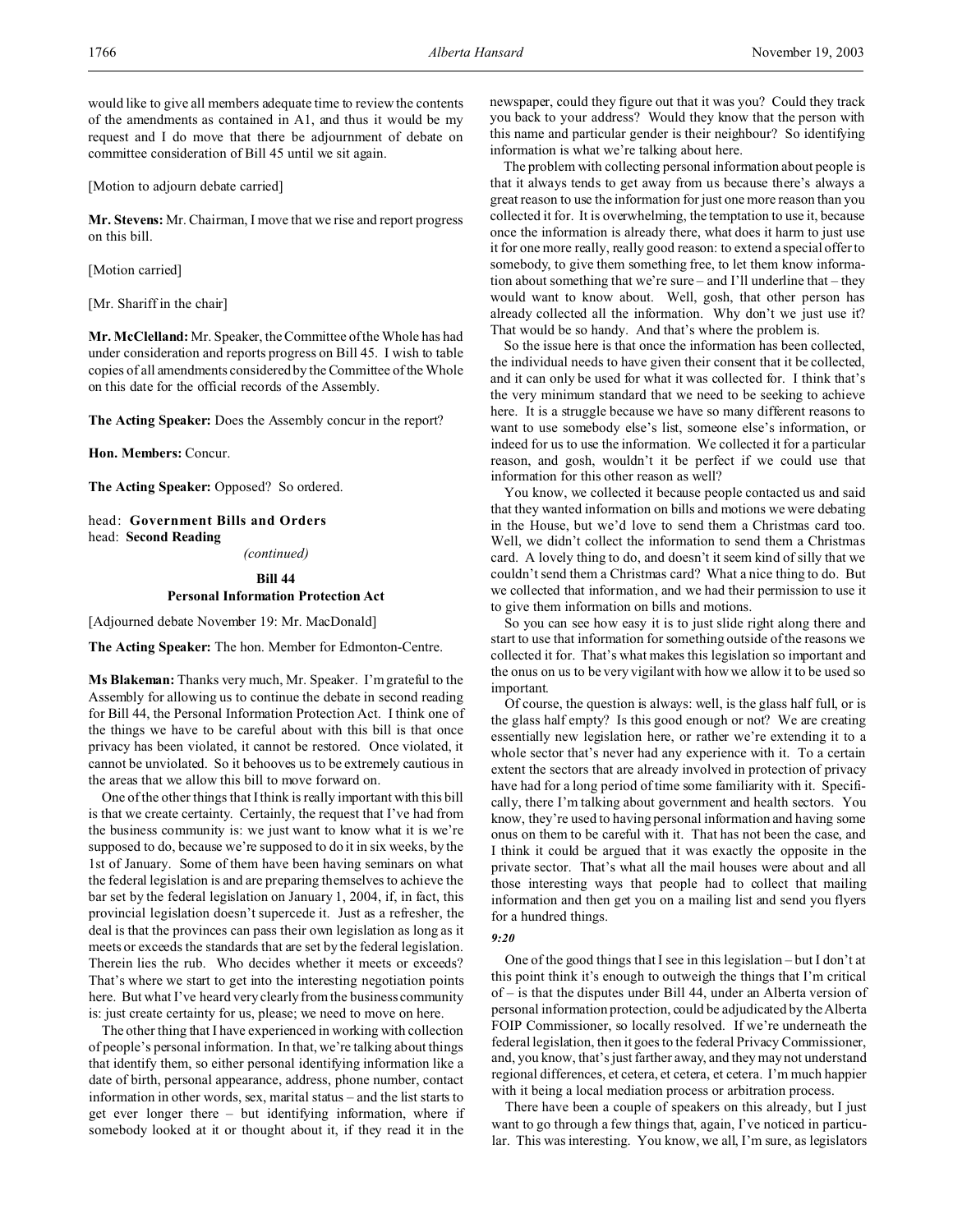would like to give all members adequate time to review the contents of the amendments as contained in A1, and thus it would be my request and I do move that there be adjournment of debate on committee consideration of Bill 45 until we sit again.

[Motion to adjourn debate carried]

**Mr. Stevens:** Mr. Chairman, I move that we rise and report progress on this bill.

[Motion carried]

[Mr. Shariff in the chair]

**Mr. McClelland:** Mr. Speaker, the Committee of the Whole has had under consideration and reports progress on Bill 45. I wish to table copies of all amendments considered by the Committee of the Whole on this date for the official records of the Assembly.

**The Acting Speaker:** Does the Assembly concur in the report?

**Hon. Members:** Concur.

**The Acting Speaker:** Opposed? So ordered.

head: **Government Bills and Orders** head: **Second Reading**

*(continued)*

# **Bill 44**

## **Personal Information Protection Act**

[Adjourned debate November 19: Mr. MacDonald]

**The Acting Speaker:** The hon. Member for Edmonton-Centre.

**Ms Blakeman:** Thanks very much, Mr. Speaker. I'm grateful to the Assembly for allowing us to continue the debate in second reading for Bill 44, the Personal Information Protection Act. I think one of the things we have to be careful about with this bill is that once privacy has been violated, it cannot be restored. Once violated, it cannot be unviolated. So it behooves us to be extremely cautious in the areas that we allow this bill to move forward on.

One of the other things that I think is really important with this bill is that we create certainty. Certainly, the request that I've had from the business community is: we just want to know what it is we're supposed to do, because we're supposed to do it in six weeks, by the 1st of January. Some of them have been having seminars on what the federal legislation is and are preparing themselves to achieve the bar set by the federal legislation on January 1, 2004, if, in fact, this provincial legislation doesn't supercede it. Just as a refresher, the deal is that the provinces can pass their own legislation as long as it meets or exceeds the standards that are set by the federal legislation. Therein lies the rub. Who decides whether it meets or exceeds? That's where we start to get into the interesting negotiation points here. But what I've heard very clearly from the business community is: just create certainty for us, please; we need to move on here.

The other thing that I have experienced in working with collection of people's personal information. In that, we're talking about things that identify them, so either personal identifying information like a date of birth, personal appearance, address, phone number, contact information in other words, sex, marital status – and the list starts to get ever longer there – but identifying information, where if somebody looked at it or thought about it, if they read it in the

newspaper, could they figure out that it was you? Could they track you back to your address? Would they know that the person with this name and particular gender is their neighbour? So identifying information is what we're talking about here.

The problem with collecting personal information about people is that it always tends to get away from us because there's always a great reason to use the information for just one more reason than you collected it for. It is overwhelming, the temptation to use it, because once the information is already there, what does it harm to just use it for one more really, really good reason: to extend a special offer to somebody, to give them something free, to let them know information about something that we're sure – and I'll underline that – they would want to know about. Well, gosh, that other person has already collected all the information. Why don't we just use it? That would be so handy. And that's where the problem is.

So the issue here is that once the information has been collected, the individual needs to have given their consent that it be collected, and it can only be used for what it was collected for. I think that's the very minimum standard that we need to be seeking to achieve here. It is a struggle because we have so many different reasons to want to use somebody else's list, someone else's information, or indeed for us to use the information. We collected it for a particular reason, and gosh, wouldn't it be perfect if we could use that information for this other reason as well?

You know, we collected it because people contacted us and said that they wanted information on bills and motions we were debating in the House, but we'd love to send them a Christmas card too. Well, we didn't collect the information to send them a Christmas card. A lovely thing to do, and doesn't it seem kind of silly that we couldn't send them a Christmas card? What a nice thing to do. But we collected that information, and we had their permission to use it to give them information on bills and motions.

So you can see how easy it is to just slide right along there and start to use that information for something outside of the reasons we collected it for. That's what makes this legislation so important and the onus on us to be very vigilant with how we allow it to be used so important.

Of course, the question is always: well, is the glass half full, or is the glass half empty? Is this good enough or not? We are creating essentially new legislation here, or rather we're extending it to a whole sector that's never had any experience with it. To a certain extent the sectors that are already involved in protection of privacy have had for a long period of time some familiarity with it. Specifically, there I'm talking about government and health sectors. You know, they're used to having personal information and having some onus on them to be careful with it. That has not been the case, and I think it could be argued that it was exactly the opposite in the private sector. That's what all the mail houses were about and all those interesting ways that people had to collect that mailing information and then get you on a mailing list and send you flyers for a hundred things.

#### *9:20*

One of the good things that I see in this legislation – but I don't at this point think it's enough to outweigh the things that I'm critical of – is that the disputes under Bill 44, under an Alberta version of personal information protection, could be adjudicated by the Alberta FOIP Commissioner, so locally resolved. If we're underneath the federal legislation, then it goes to the federal Privacy Commissioner, and, you know, that's just farther away, and they may not understand regional differences, et cetera, et cetera, et cetera. I'm much happier with it being a local mediation process or arbitration process.

There have been a couple of speakers on this already, but I just want to go through a few things that, again, I've noticed in particular. This was interesting. You know, we all, I'm sure, as legislators